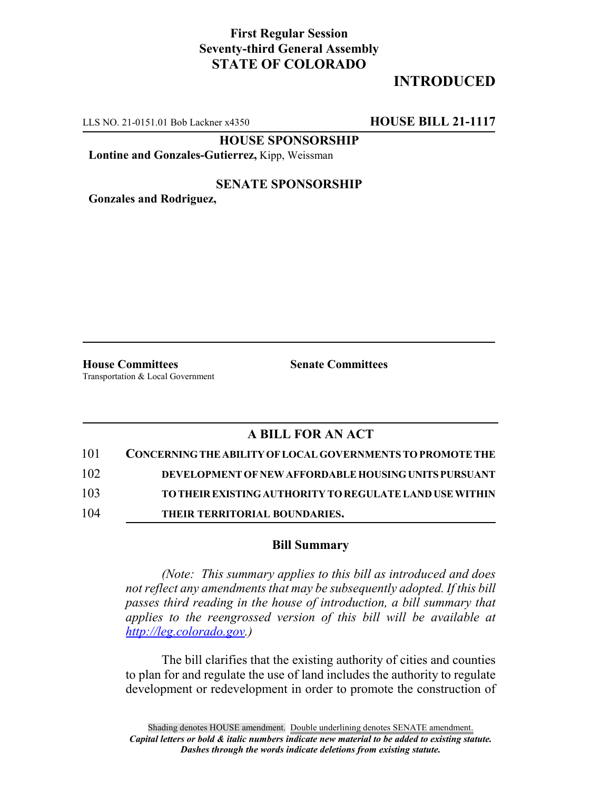## **First Regular Session Seventy-third General Assembly STATE OF COLORADO**

## **INTRODUCED**

LLS NO. 21-0151.01 Bob Lackner x4350 **HOUSE BILL 21-1117**

**HOUSE SPONSORSHIP**

**Lontine and Gonzales-Gutierrez,** Kipp, Weissman

#### **SENATE SPONSORSHIP**

**Gonzales and Rodriguez,**

**House Committees Senate Committees** Transportation & Local Government

### **A BILL FOR AN ACT**

| 101 | CONCERNING THE ABILITY OF LOCAL GOVERNMENTS TO PROMOTE THE |
|-----|------------------------------------------------------------|
| 102 | DEVELOPMENT OF NEW AFFORDABLE HOUSING UNITS PURSUANT       |
| 103 | TO THEIR EXISTING AUTHORITY TO REGULATE LAND USE WITHIN    |
| 104 | THEIR TERRITORIAL BOUNDARIES.                              |

#### **Bill Summary**

*(Note: This summary applies to this bill as introduced and does not reflect any amendments that may be subsequently adopted. If this bill passes third reading in the house of introduction, a bill summary that applies to the reengrossed version of this bill will be available at http://leg.colorado.gov.)*

The bill clarifies that the existing authority of cities and counties to plan for and regulate the use of land includes the authority to regulate development or redevelopment in order to promote the construction of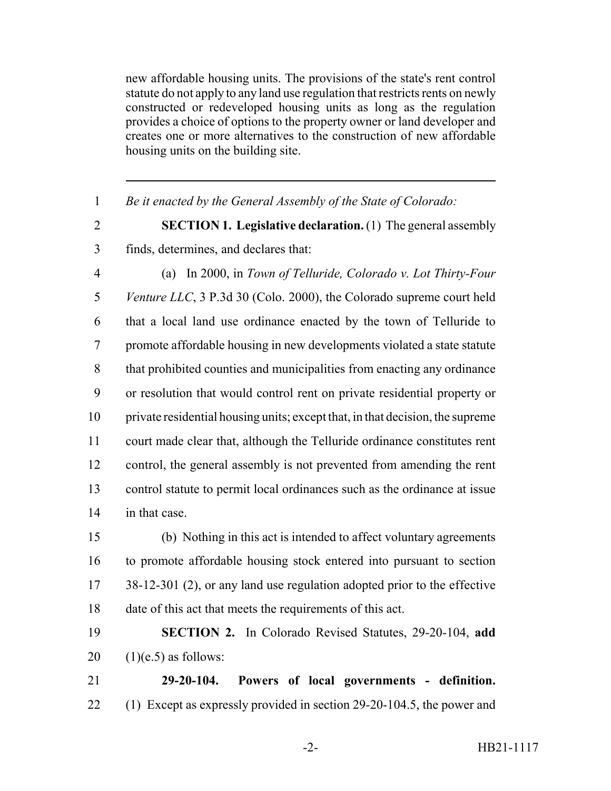new affordable housing units. The provisions of the state's rent control statute do not apply to any land use regulation that restricts rents on newly constructed or redeveloped housing units as long as the regulation provides a choice of options to the property owner or land developer and creates one or more alternatives to the construction of new affordable housing units on the building site.

*Be it enacted by the General Assembly of the State of Colorado:*

 **SECTION 1. Legislative declaration.** (1) The general assembly finds, determines, and declares that:

 (a) In 2000, in *Town of Telluride, Colorado v. Lot Thirty-Four Venture LLC*, 3 P.3d 30 (Colo. 2000), the Colorado supreme court held that a local land use ordinance enacted by the town of Telluride to promote affordable housing in new developments violated a state statute that prohibited counties and municipalities from enacting any ordinance or resolution that would control rent on private residential property or private residential housing units; except that, in that decision, the supreme court made clear that, although the Telluride ordinance constitutes rent control, the general assembly is not prevented from amending the rent control statute to permit local ordinances such as the ordinance at issue in that case.

 (b) Nothing in this act is intended to affect voluntary agreements to promote affordable housing stock entered into pursuant to section 17 38-12-301 (2), or any land use regulation adopted prior to the effective date of this act that meets the requirements of this act.

# **SECTION 2.** In Colorado Revised Statutes, 29-20-104, **add**  $20 \quad (1)(e.5)$  as follows:

 **29-20-104. Powers of local governments - definition.** (1) Except as expressly provided in section 29-20-104.5, the power and